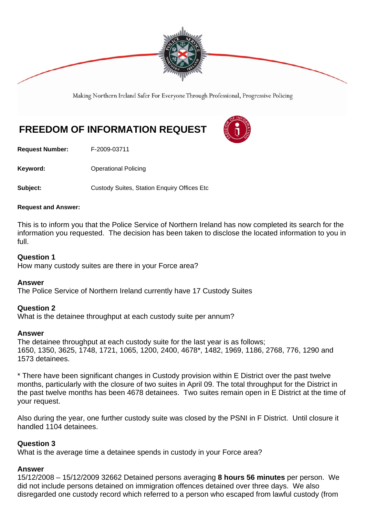

Making Northern Ireland Safer For Everyone Through Professional, Progressive Policing

# **FREEDOM OF INFORMATION REQUEST**

**Request Number:** F-2009-03711

**Keyword: Conservery Operational Policing** 

**Subject: Custody Suites, Station Enquiry Offices Etc** 

#### **Request and Answer:**

This is to inform you that the Police Service of Northern Ireland has now completed its search for the information you requested. The decision has been taken to disclose the located information to you in full.

#### **Question 1**

How many custody suites are there in your Force area?

#### **Answer**

The Police Service of Northern Ireland currently have 17 Custody Suites

#### **Question 2**

What is the detainee throughput at each custody suite per annum?

#### **Answer**

The detainee throughput at each custody suite for the last year is as follows; 1650, 1350, 3625, 1748, 1721, 1065, 1200, 2400, 4678\*, 1482, 1969, 1186, 2768, 776, 1290 and 1573 detainees.

\* There have been significant changes in Custody provision within E District over the past twelve months, particularly with the closure of two suites in April 09. The total throughput for the District in the past twelve months has been 4678 detainees. Two suites remain open in E District at the time of your request.

Also during the year, one further custody suite was closed by the PSNI in F District. Until closure it handled 1104 detainees.

#### **Question 3**

What is the average time a detainee spends in custody in your Force area?

#### **Answer**

15/12/2008 – 15/12/2009 32662 Detained persons averaging **8 hours 56 minutes** per person. We did not include persons detained on immigration offences detained over three days. We also disregarded one custody record which referred to a person who escaped from lawful custody (from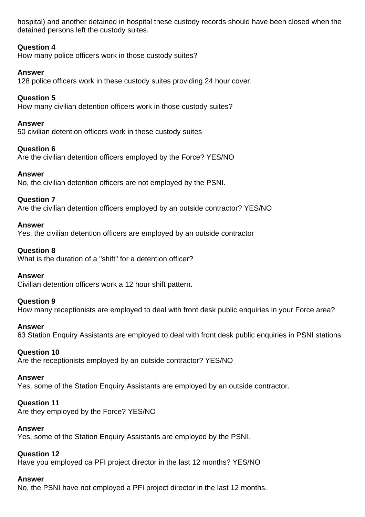hospital) and another detained in hospital these custody records should have been closed when the detained persons left the custody suites.

# **Question 4**

How many police officers work in those custody suites?

# **Answer**

128 police officers work in these custody suites providing 24 hour cover.

# **Question 5**

How many civilian detention officers work in those custody suites?

# **Answer**

50 civilian detention officers work in these custody suites

# **Question 6**

Are the civilian detention officers employed by the Force? YES/NO

## **Answer**

No, the civilian detention officers are not employed by the PSNI.

# **Question 7**

Are the civilian detention officers employed by an outside contractor? YES/NO

## **Answer**

Yes, the civilian detention officers are employed by an outside contractor

## **Question 8**

What is the duration of a "shift" for a detention officer?

#### **Answer**

Civilian detention officers work a 12 hour shift pattern.

# **Question 9**

How many receptionists are employed to deal with front desk public enquiries in your Force area?

#### **Answer**

63 Station Enquiry Assistants are employed to deal with front desk public enquiries in PSNI stations

# **Question 10**

Are the receptionists employed by an outside contractor? YES/NO

#### **Answer**

Yes, some of the Station Enquiry Assistants are employed by an outside contractor.

# **Question 11**

Are they employed by the Force? YES/NO

#### **Answer**

Yes, some of the Station Enquiry Assistants are employed by the PSNI.

# **Question 12**

Have you employed ca PFI project director in the last 12 months? YES/NO

# **Answer**

No, the PSNI have not employed a PFI project director in the last 12 months.